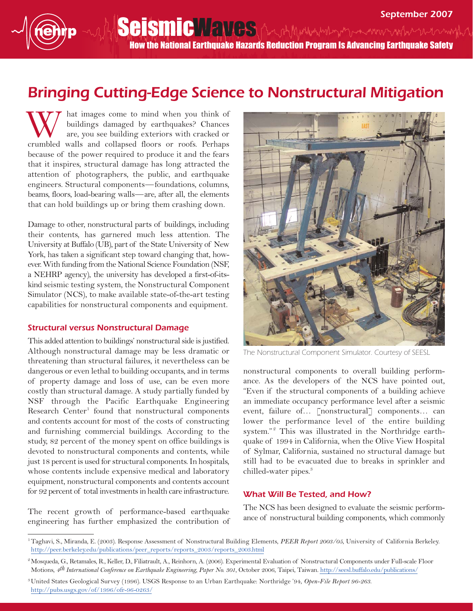## Bringing Cutting-Edge Science to Nonstructural Mitigation

hat images come to mind when you think of buildings damaged by earthquakes? Chances are, you see building exteriors with cracked or W hat images come to mind when you think of buildings damaged by earthquakes? Chances are, you see building exteriors with cracked or crumbled walls and collapsed floors or roofs. Perhaps because of the power required to produce it and the fears that it inspires, structural damage has long attracted the attention of photographers, the public, and earthquake engineers. Structural components—foundations, columns, beams, floors, load-bearing walls—are, after all, the elements that can hold buildings up or bring them crashing down.

Damage to other, nonstructural parts of buildings, including their contents, has garnered much less attention. The University at Buffalo (UB), part of the State University of New York, has taken a significant step toward changing that, however. With funding from the National Science Foundation (NSF, a NEHRP agency), the university has developed a first-of-itskind seismic testing system, the Nonstructural Component Simulator (NCS), to make available state-of-the-art testing capabilities for nonstructural components and equipment.

## Structural versus Nonstructural Damage

This added attention to buildings' nonstructural side is justified. Although nonstructural damage may be less dramatic or threatening than structural failures, it nevertheless can be dangerous or even lethal to building occupants, and in terms of property damage and loss of use, can be even more costly than structural damage. A study partially funded by NSF through the Pacific Earthquake Engineering Research Center<sup>1</sup> found that nonstructural components and contents account for most of the costs of constructing and furnishing commercial buildings. According to the study, 82 percent of the money spent on office buildings is devoted to nonstructural components and contents, while just 18 percent is used for structural components. In hospitals, whose contents include expensive medical and laboratory equipment, nonstructural components and contents account for 92 percent of total investments in health care infrastructure.

The recent growth of performance-based earthquake engineering has further emphasized the contribution of



The Nonstructural Component Simulator. Courtesy of SEESL

nonstructural components to overall building performance. As the developers of the NCS have pointed out, "Even if the structural components of a building achieve an immediate occupancy performance level after a seismic event, failure of… [nonstructural] components… can lower the performance level of the entire building system."<sup>2</sup> This was illustrated in the Northridge earthquake of 1994 in California, when the Olive View Hospital of Sylmar, California, sustained no structural damage but still had to be evacuated due to breaks in sprinkler and chilled-water pipes.<sup>3</sup>

## What Will Be Tested, and How?

The NCS has been designed to evaluate the seismic performance of nonstructural building components, which commonly

3United States Geological Survey (1996). USGS Response to an Urban Earthquake: Northridge '94, *Open-File Report 96-263*. [http://pubs.usgs.gov/of/1996/ofr-96-0263/](http://pubs.usgs.gov/of/1996/ofr-96-0263)

<sup>1</sup>Taghavi, S., Miranda, E. (2003). Response Assessment of Nonstructural Building Elements, *PEER Report 2003/05*, University of California Berkeley. [http://peer.berkeley.edu/publications/peer\\_reports/reports\\_2003/reports\\_2003.html](http://peer.berkeley.edu/publications/peer_reports/reports_2003/reports_2003.html)

<sup>&</sup>lt;sup>2</sup> Mosqueda, G., Retamales, R., Keller, D., Filiatrault, A., Reinhorn, A. (2006). Experimental Evaluation of Nonstructural Components under Full-scale Floor Motions, *4th International Conference on Earthquake Engineering, Paper No. 301*, October 2006, Taipei, Taiwan. [http://seesl.buffalo.edu/publications/](http://seesl.buffalo.edu/publications)